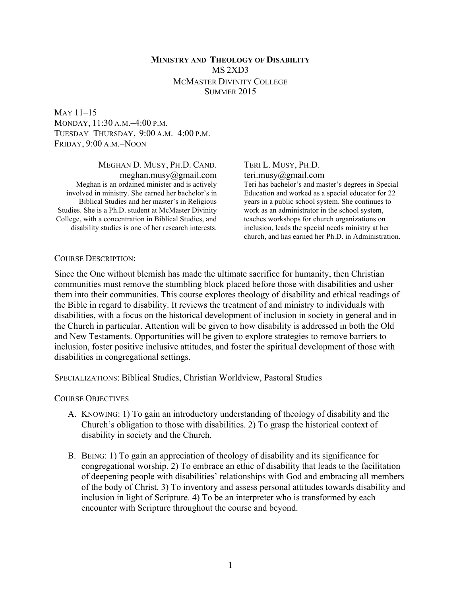# **MINISTRY AND THEOLOGY OF DISABILITY** MS 2XD3 MCMASTER DIVINITY COLLEGE SUMMER 2015

# MAY 11–15 MONDAY, 11:30 A.M.–4:00 P.M. TUESDAY–THURSDAY, 9:00 A.M.–4:00 P.M. FRIDAY, 9:00 A.M.–NOON

#### MEGHAN D. MUSY, PH.D. CAND.

meghan.musy@gmail.com Meghan is an ordained minister and is actively involved in ministry. She earned her bachelor's in Biblical Studies and her master's in Religious Studies. She is a Ph.D. student at McMaster Divinity College, with a concentration in Biblical Studies, and disability studies is one of her research interests.

### TERI L. MUSY, PH.D. teri.musy@gmail.com

Teri has bachelor's and master's degrees in Special Education and worked as a special educator for 22 years in a public school system. She continues to work as an administrator in the school system, teaches workshops for church organizations on inclusion, leads the special needs ministry at her church, and has earned her Ph.D. in Administration.

#### COURSE DESCRIPTION:

Since the One without blemish has made the ultimate sacrifice for humanity, then Christian communities must remove the stumbling block placed before those with disabilities and usher them into their communities. This course explores theology of disability and ethical readings of the Bible in regard to disability. It reviews the treatment of and ministry to individuals with disabilities, with a focus on the historical development of inclusion in society in general and in the Church in particular. Attention will be given to how disability is addressed in both the Old and New Testaments. Opportunities will be given to explore strategies to remove barriers to inclusion, foster positive inclusive attitudes, and foster the spiritual development of those with disabilities in congregational settings.

SPECIALIZATIONS: Biblical Studies, Christian Worldview, Pastoral Studies

COURSE OBJECTIVES

- A. KNOWING: 1) To gain an introductory understanding of theology of disability and the Church's obligation to those with disabilities. 2) To grasp the historical context of disability in society and the Church.
- B. BEING: 1) To gain an appreciation of theology of disability and its significance for congregational worship. 2) To embrace an ethic of disability that leads to the facilitation of deepening people with disabilities' relationships with God and embracing all members of the body of Christ. 3) To inventory and assess personal attitudes towards disability and inclusion in light of Scripture. 4) To be an interpreter who is transformed by each encounter with Scripture throughout the course and beyond.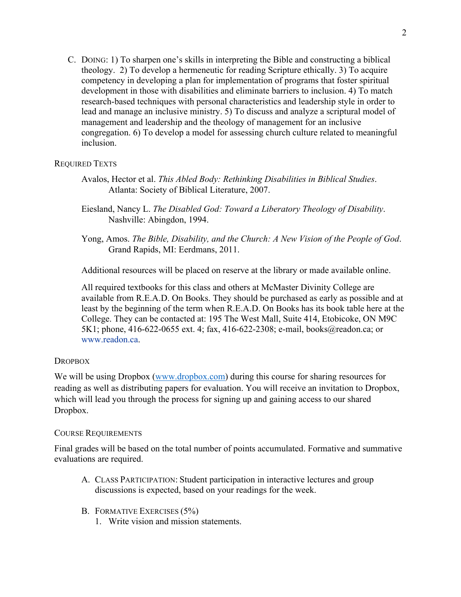C. DOING: 1) To sharpen one's skills in interpreting the Bible and constructing a biblical theology. 2) To develop a hermeneutic for reading Scripture ethically. 3) To acquire competency in developing a plan for implementation of programs that foster spiritual development in those with disabilities and eliminate barriers to inclusion. 4) To match research-based techniques with personal characteristics and leadership style in order to lead and manage an inclusive ministry. 5) To discuss and analyze a scriptural model of management and leadership and the theology of management for an inclusive congregation. 6) To develop a model for assessing church culture related to meaningful inclusion.

# REQUIRED TEXTS

- Avalos, Hector et al. *This Abled Body: Rethinking Disabilities in Biblical Studies*. Atlanta: Society of Biblical Literature, 2007.
- Eiesland, Nancy L. *The Disabled God: Toward a Liberatory Theology of Disability*. Nashville: Abingdon, 1994.
- Yong, Amos. *The Bible, Disability, and the Church: A New Vision of the People of God*. Grand Rapids, MI: Eerdmans, 2011.

Additional resources will be placed on reserve at the library or made available online.

All required textbooks for this class and others at McMaster Divinity College are available from R.E.A.D. On Books. They should be purchased as early as possible and at least by the beginning of the term when R.E.A.D. On Books has its book table here at the College. They can be contacted at: 195 The West Mall, Suite 414, Etobicoke, ON M9C 5K1; phone, 416-622-0655 ext. 4; fax, 416-622-2308; e-mail, books@readon.ca; or www.readon.ca.

# **DROPBOX**

We will be using Dropbox (www.dropbox.com) during this course for sharing resources for reading as well as distributing papers for evaluation. You will receive an invitation to Dropbox, which will lead you through the process for signing up and gaining access to our shared Dropbox.

# COURSE REQUIREMENTS

Final grades will be based on the total number of points accumulated. Formative and summative evaluations are required.

- A. CLASS PARTICIPATION: Student participation in interactive lectures and group discussions is expected, based on your readings for the week.
- B. FORMATIVE EXERCISES (5%)
	- 1. Write vision and mission statements.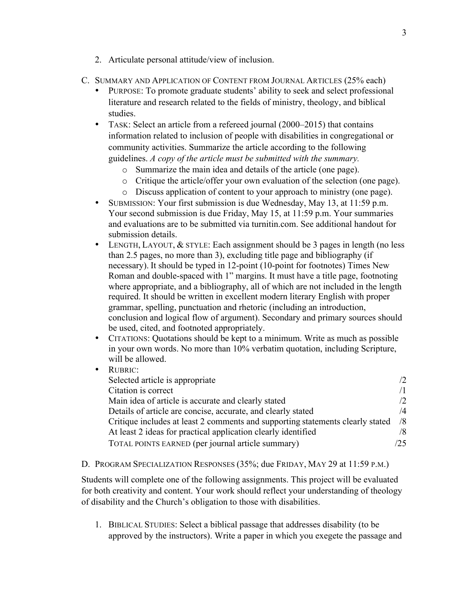- 2. Articulate personal attitude/view of inclusion.
- C. SUMMARY AND APPLICATION OF CONTENT FROM JOURNAL ARTICLES (25% each)
	- PURPOSE: To promote graduate students' ability to seek and select professional literature and research related to the fields of ministry, theology, and biblical studies.
	- TASK: Select an article from a refereed journal (2000–2015) that contains information related to inclusion of people with disabilities in congregational or community activities. Summarize the article according to the following guidelines. *A copy of the article must be submitted with the summary.*
		- o Summarize the main idea and details of the article (one page).
		- o Critique the article/offer your own evaluation of the selection (one page).
		- o Discuss application of content to your approach to ministry (one page).
	- SUBMISSION: Your first submission is due Wednesday, May 13, at 11:59 p.m. Your second submission is due Friday, May 15, at 11:59 p.m. Your summaries and evaluations are to be submitted via turnitin.com. See additional handout for submission details.
	- LENGTH, LAYOUT, & STYLE: Each assignment should be 3 pages in length (no less than 2.5 pages, no more than 3), excluding title page and bibliography (if necessary). It should be typed in 12-point (10-point for footnotes) Times New Roman and double-spaced with 1" margins. It must have a title page, footnoting where appropriate, and a bibliography, all of which are not included in the length required. It should be written in excellent modern literary English with proper grammar, spelling, punctuation and rhetoric (including an introduction, conclusion and logical flow of argument). Secondary and primary sources should be used, cited, and footnoted appropriately.
	- CITATIONS: Quotations should be kept to a minimum. Write as much as possible in your own words. No more than 10% verbatim quotation, including Scripture, will be allowed.
	- RUBRIC: Selected article is appropriate /2 Citation is correct  $\sqrt{1}$ Main idea of article is accurate and clearly stated  $\sqrt{2}$ Details of article are concise, accurate, and clearly stated  $\frac{4}{4}$ Critique includes at least 2 comments and supporting statements clearly stated /8 At least 2 ideas for practical application clearly identified  $\frac{8}{8}$ TOTAL POINTS EARNED (per journal article summary) /25

# D. PROGRAM SPECIALIZATION RESPONSES (35%; due FRIDAY, MAY 29 at 11:59 P.M.)

Students will complete one of the following assignments. This project will be evaluated for both creativity and content. Your work should reflect your understanding of theology of disability and the Church's obligation to those with disabilities.

1. BIBLICAL STUDIES: Select a biblical passage that addresses disability (to be approved by the instructors). Write a paper in which you exegete the passage and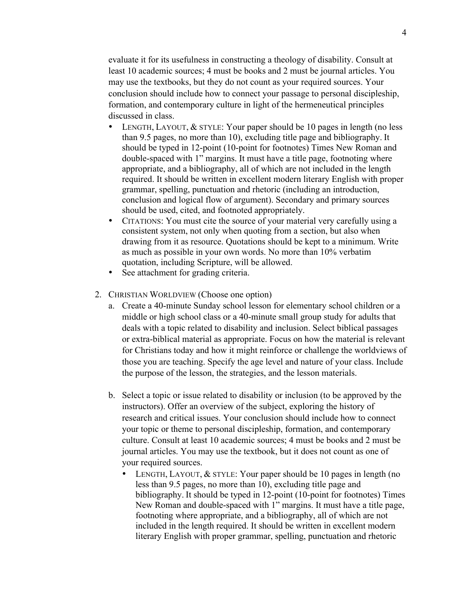evaluate it for its usefulness in constructing a theology of disability. Consult at least 10 academic sources; 4 must be books and 2 must be journal articles. You may use the textbooks, but they do not count as your required sources. Your conclusion should include how to connect your passage to personal discipleship, formation, and contemporary culture in light of the hermeneutical principles discussed in class.

- LENGTH, LAYOUT,  $&$  STYLE: Your paper should be 10 pages in length (no less than 9.5 pages, no more than 10), excluding title page and bibliography. It should be typed in 12-point (10-point for footnotes) Times New Roman and double-spaced with 1" margins. It must have a title page, footnoting where appropriate, and a bibliography, all of which are not included in the length required. It should be written in excellent modern literary English with proper grammar, spelling, punctuation and rhetoric (including an introduction, conclusion and logical flow of argument). Secondary and primary sources should be used, cited, and footnoted appropriately.
- CITATIONS: You must cite the source of your material very carefully using a consistent system, not only when quoting from a section, but also when drawing from it as resource. Quotations should be kept to a minimum. Write as much as possible in your own words. No more than 10% verbatim quotation, including Scripture, will be allowed.
- See attachment for grading criteria.
- 2. CHRISTIAN WORLDVIEW (Choose one option)
	- a. Create a 40-minute Sunday school lesson for elementary school children or a middle or high school class or a 40-minute small group study for adults that deals with a topic related to disability and inclusion. Select biblical passages or extra-biblical material as appropriate. Focus on how the material is relevant for Christians today and how it might reinforce or challenge the worldviews of those you are teaching. Specify the age level and nature of your class. Include the purpose of the lesson, the strategies, and the lesson materials.
	- b. Select a topic or issue related to disability or inclusion (to be approved by the instructors). Offer an overview of the subject, exploring the history of research and critical issues. Your conclusion should include how to connect your topic or theme to personal discipleship, formation, and contemporary culture. Consult at least 10 academic sources; 4 must be books and 2 must be journal articles. You may use the textbook, but it does not count as one of your required sources.
		- LENGTH, LAYOUT, & STYLE: Your paper should be 10 pages in length (no less than 9.5 pages, no more than 10), excluding title page and bibliography. It should be typed in 12-point (10-point for footnotes) Times New Roman and double-spaced with 1" margins. It must have a title page, footnoting where appropriate, and a bibliography, all of which are not included in the length required. It should be written in excellent modern literary English with proper grammar, spelling, punctuation and rhetoric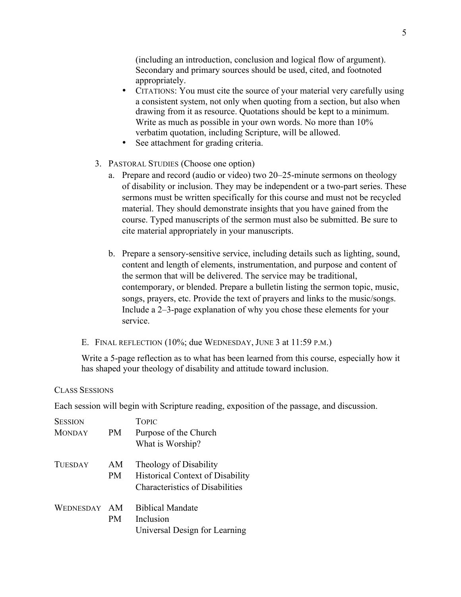(including an introduction, conclusion and logical flow of argument). Secondary and primary sources should be used, cited, and footnoted appropriately.

- CITATIONS: You must cite the source of your material very carefully using a consistent system, not only when quoting from a section, but also when drawing from it as resource. Quotations should be kept to a minimum. Write as much as possible in your own words. No more than 10% verbatim quotation, including Scripture, will be allowed.
- See attachment for grading criteria.
- 3. PASTORAL STUDIES (Choose one option)
	- a. Prepare and record (audio or video) two 20–25-minute sermons on theology of disability or inclusion. They may be independent or a two-part series. These sermons must be written specifically for this course and must not be recycled material. They should demonstrate insights that you have gained from the course. Typed manuscripts of the sermon must also be submitted. Be sure to cite material appropriately in your manuscripts.
	- b. Prepare a sensory-sensitive service, including details such as lighting, sound, content and length of elements, instrumentation, and purpose and content of the sermon that will be delivered. The service may be traditional, contemporary, or blended. Prepare a bulletin listing the sermon topic, music, songs, prayers, etc. Provide the text of prayers and links to the music/songs. Include a 2–3-page explanation of why you chose these elements for your service.
- E. FINAL REFLECTION (10%; due WEDNESDAY, JUNE 3 at 11:59 P.M.)

Write a 5-page reflection as to what has been learned from this course, especially how it has shaped your theology of disability and attitude toward inclusion.

### CLASS SESSIONS

Each session will begin with Scripture reading, exposition of the passage, and discussion.

| <b>SESSION</b> |                  | <b>TOPIC</b>                                                                                                |
|----------------|------------------|-------------------------------------------------------------------------------------------------------------|
| <b>MONDAY</b>  | PM               | Purpose of the Church<br>What is Worship?                                                                   |
| <b>TUESDAY</b> | AM<br><b>PM</b>  | Theology of Disability<br><b>Historical Context of Disability</b><br><b>Characteristics of Disabilities</b> |
| WEDNESDAY      | AM.<br><b>PM</b> | <b>Biblical Mandate</b><br>Inclusion<br>Universal Design for Learning                                       |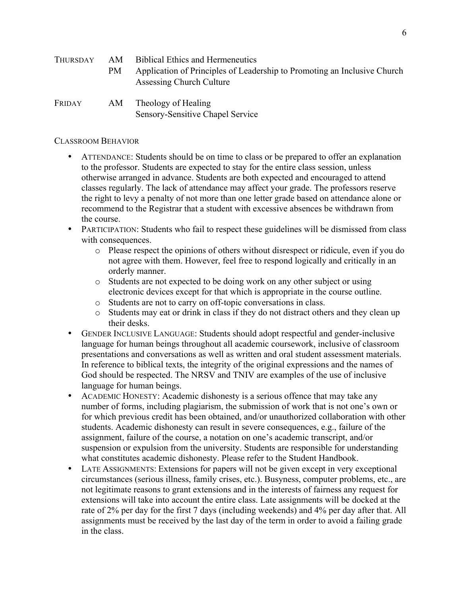| AM<br>Thursday |     | <b>Biblical Ethics and Hermeneutics</b>                                                              |
|----------------|-----|------------------------------------------------------------------------------------------------------|
|                | PM. | Application of Principles of Leadership to Promoting an Inclusive Church<br>Assessing Church Culture |
| Friday         | AM  | Theology of Healing                                                                                  |

Sensory-Sensitive Chapel Service

# CLASSROOM BEHAVIOR

- ATTENDANCE: Students should be on time to class or be prepared to offer an explanation to the professor. Students are expected to stay for the entire class session, unless otherwise arranged in advance. Students are both expected and encouraged to attend classes regularly. The lack of attendance may affect your grade. The professors reserve the right to levy a penalty of not more than one letter grade based on attendance alone or recommend to the Registrar that a student with excessive absences be withdrawn from the course.
- PARTICIPATION: Students who fail to respect these guidelines will be dismissed from class with consequences.
	- o Please respect the opinions of others without disrespect or ridicule, even if you do not agree with them. However, feel free to respond logically and critically in an orderly manner.
	- o Students are not expected to be doing work on any other subject or using electronic devices except for that which is appropriate in the course outline.
	- o Students are not to carry on off-topic conversations in class.
	- o Students may eat or drink in class if they do not distract others and they clean up their desks.
- GENDER INCLUSIVE LANGUAGE: Students should adopt respectful and gender-inclusive language for human beings throughout all academic coursework, inclusive of classroom presentations and conversations as well as written and oral student assessment materials. In reference to biblical texts, the integrity of the original expressions and the names of God should be respected. The NRSV and TNIV are examples of the use of inclusive language for human beings.
- ACADEMIC HONESTY: Academic dishonesty is a serious offence that may take any number of forms, including plagiarism, the submission of work that is not one's own or for which previous credit has been obtained, and/or unauthorized collaboration with other students. Academic dishonesty can result in severe consequences, e.g., failure of the assignment, failure of the course, a notation on one's academic transcript, and/or suspension or expulsion from the university. Students are responsible for understanding what constitutes academic dishonesty. Please refer to the Student Handbook.
- LATE ASSIGNMENTS: Extensions for papers will not be given except in very exceptional circumstances (serious illness, family crises, etc.). Busyness, computer problems, etc., are not legitimate reasons to grant extensions and in the interests of fairness any request for extensions will take into account the entire class. Late assignments will be docked at the rate of 2% per day for the first 7 days (including weekends) and 4% per day after that. All assignments must be received by the last day of the term in order to avoid a failing grade in the class.